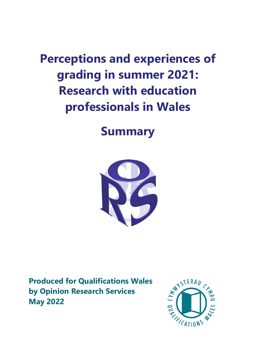**Perceptions and experiences of grading in summer 2021: Research with education professionals in Wales**

# **Summary**



**Produced for Qualifications Wales by Opinion Research Services May 2022**

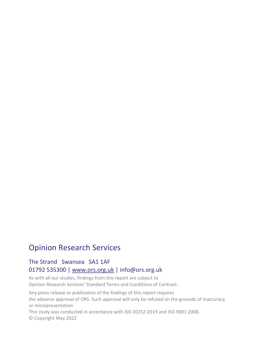# Opinion Research Services

#### The Strand Swansea SA1 1AF 01792 535300 | [www.ors.org.uk](http://www.ors.org.uk/) | info@ors.org.uk

As with all our studies, findings from this report are subject to Opinion Research Services' Standard Terms and Conditions of Contract.

Any press release or publication of the findings of this report requires the advance approval of ORS. Such approval will only be refused on the grounds of inaccuracy or misrepresentation

This study was conducted in accordance with ISO 20252:2019 and ISO 9001:2008. © Copyright May 2022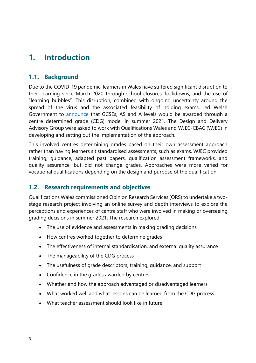# **1. Introduction**

#### **1.1. Background**

Due to the COVID-19 pandemic, learners in Wales have suffered significant disruption to their learning since March 2020 through school closures, lockdowns, and the use of "learning bubbles". This disruption, combined with ongoing uncertainty around the spread of the virus and the associated feasibility of holding exams, led Welsh Government to [announce](https://www.qualificationswales.org/media/7005/written-statement-by-education-minister-kirsty-williams-on-awarding-in-summer-2021.pdf) that GCSEs, AS and A levels would be awarded through a centre determined grade (CDG) model in summer 2021. The [Design and Delivery](https://gov.wales/terms-reference-21-january-2021)  [Advisory Group](https://gov.wales/terms-reference-21-january-2021) were asked to work with Qualifications Wales and WJEC-CBAC (WJEC) in developing and setting out the implementation of the approach.

This involved centres determining grades based on their own assessment approach rather than having learners sit standardised assessments, such as exams. WJEC provided training, guidance, adapted past papers, qualification assessment frameworks, and quality assurance, but did not change grades. Approaches were more varied for vocational qualifications depending on the design and purpose of the qualification.

#### **1.2. Research requirements and objectives**

Qualifications Wales commissioned Opinion Research Services (ORS) to undertake a twostage research project involving an online survey and depth interviews to explore the perceptions and experiences of centre staff who were involved in making or overseeing grading decisions in summer 2021. The research explored:

- The use of evidence and assessments in making grading decisions
- How centres worked together to determine grades
- The effectiveness of internal standardisation, and external quality assurance
- The manageability of the CDG process
- The usefulness of grade descriptors, training, guidance, and support
- Confidence in the grades awarded by centres
- Whether and how the approach advantaged or disadvantaged learners
- What worked well and what lessons can be learned from the CDG process
- What teacher assessment should look like in future.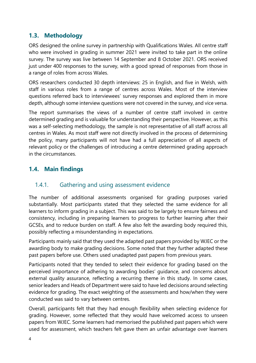#### **1.3. Methodology**

ORS designed the online survey in partnership with Qualifications Wales. All centre staff who were involved in grading in summer 2021 were invited to take part in the online survey. The survey was live between 14 September and 8 October 2021. ORS received just under 400 responses to the survey, with a good spread of responses from those in a range of roles from across Wales.

ORS researchers conducted 30 depth interviews: 25 in English, and five in Welsh, with staff in various roles from a range of centres across Wales. Most of the interview questions referred back to interviewees' survey responses and explored them in more depth, although some interview questions were not covered in the survey, and vice versa.

The report summarises the views of a number of centre staff involved in centre determined grading and is valuable for understanding their perspective. However, as this was a self-selecting methodology, the sample is not representative of all staff across all centres in Wales. As most staff were not directly involved in the process of determining the policy, many participants will not have had a full appreciation of all aspects of relevant policy or the challenges of introducing a centre determined grading approach in the circumstances.

### **1.4. Main findings**

#### 1.4.1. Gathering and using assessment evidence

The number of additional assessments organised for grading purposes varied substantially. Most participants stated that they selected the same evidence for all learners to inform grading in a subject. This was said to be largely to ensure fairness and consistency, including in preparing learners to progress to further learning after their GCSEs, and to reduce burden on staff. A few also felt the awarding body required this, possibly reflecting a misunderstanding in expectations.

Participants mainly said that they used the adapted past papers provided by WJEC or the awarding body to make grading decisions. Some noted that they further adapted these past papers before use. Others used unadapted past papers from previous years.

Participants noted that they tended to select their evidence for grading based on the perceived importance of adhering to awarding bodies' guidance, and concerns about external quality assurance, reflecting a recurring theme in this study. In some cases, senior leaders and Heads of Department were said to have led decisions around selecting evidence for grading. The exact weighting of the assessments and how/when they were conducted was said to vary between centres.

Overall, participants felt that they had enough flexibility when selecting evidence for grading. However, some reflected that they would have welcomed access to unseen papers from WJEC. Some learners had memorised the published past papers which were used for assessment, which teachers felt gave them an unfair advantage over learners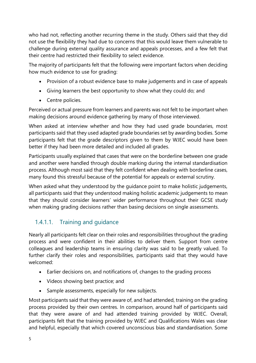who had not, reflecting another recurring theme in the study. Others said that they did not use the flexibility they had due to concerns that this would leave them vulnerable to challenge during external quality assurance and appeals processes, and a few felt that their centre had restricted their flexibility to select evidence.

The majority of participants felt that the following were important factors when deciding how much evidence to use for grading:

- Provision of a robust evidence base to make judgements and in case of appeals
- Giving learners the best opportunity to show what they could do; and
- Centre policies.

Perceived or actual pressure from learners and parents was not felt to be important when making decisions around evidence gathering by many of those interviewed.

When asked at interview whether and how they had used grade boundaries, most participants said that they used adapted grade boundaries set by awarding bodies. Some participants felt that the grade descriptors given to them by WJEC would have been better if they had been more detailed and included all grades.

Participants usually explained that cases that were on the borderline between one grade and another were handled through double marking during the internal standardisation process. Although most said that they felt confident when dealing with borderline cases, many found this stressful because of the potential for appeals or external scrutiny.

When asked what they understood by the guidance point to make holistic judgements, all participants said that they understood making holistic academic judgements to mean that they should consider learners' wider performance throughout their GCSE study when making grading decisions rather than basing decisions on single assessments.

## 1.4.1.1. Training and guidance

Nearly all participants felt clear on their roles and responsibilities throughout the grading process and were confident in their abilities to deliver them. Support from centre colleagues and leadership teams in ensuring clarity was said to be greatly valued. To further clarify their roles and responsibilities, participants said that they would have welcomed:

- Earlier decisions on, and notifications of, changes to the grading process
- Videos showing best practice; and
- Sample assessments, especially for new subjects.

Most participants said that they were aware of, and had attended, training on the grading process provided by their own centres. In comparison, around half of participants said that they were aware of and had attended training provided by WJEC. Overall, participants felt that the training provided by WJEC and Qualifications Wales was clear and helpful, especially that which covered unconscious bias and standardisation. Some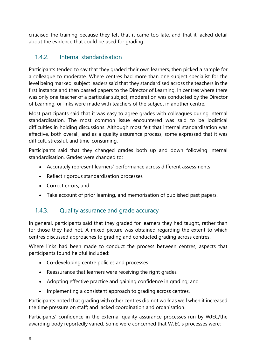criticised the training because they felt that it came too late, and that it lacked detail about the evidence that could be used for grading.

#### 1.4.2. Internal standardisation

Participants tended to say that they graded their own learners, then picked a sample for a colleague to moderate. Where centres had more than one subject specialist for the level being marked, subject leaders said that they standardised across the teachers in the first instance and then passed papers to the Director of Learning. In centres where there was only one teacher of a particular subject, moderation was conducted by the Director of Learning, or links were made with teachers of the subject in another centre.

Most participants said that it was easy to agree grades with colleagues during internal standardisation. The most common issue encountered was said to be logistical difficulties in holding discussions. Although most felt that internal standardisation was effective, both overall, and as a quality assurance process, some expressed that it was difficult, stressful, and time-consuming.

Participants said that they changed grades both up and down following internal standardisation. Grades were changed to:

- Accurately represent learners' performance across different assessments
- Reflect rigorous standardisation processes
- Correct errors; and
- Take account of prior learning, and memorisation of published past papers.

#### 1.4.3. Quality assurance and grade accuracy

In general, participants said that they graded for learners they had taught, rather than for those they had not. A mixed picture was obtained regarding the extent to which centres discussed approaches to grading and conducted grading across centres.

Where links had been made to conduct the process between centres, aspects that participants found helpful included:

- Co-developing centre policies and processes
- Reassurance that learners were receiving the right grades
- Adopting effective practice and gaining confidence in grading; and
- Implementing a consistent approach to grading across centres.

Participants noted that grading with other centres did not work as well when it increased the time pressure on staff; and lacked coordination and organisation.

Participants' confidence in the external quality assurance processes run by WJEC/the awarding body reportedly varied. Some were concerned that WJEC's processes were: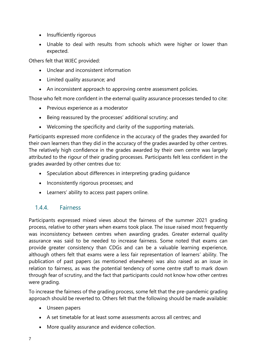- Insufficiently rigorous
- Unable to deal with results from schools which were higher or lower than expected.

Others felt that WJEC provided:

- Unclear and inconsistent information
- Limited quality assurance; and
- An inconsistent approach to approving centre assessment policies.

Those who felt more confident in the external quality assurance processes tended to cite:

- Previous experience as a moderator
- Being reassured by the processes' additional scrutiny; and
- Welcoming the specificity and clarity of the supporting materials.

Participants expressed more confidence in the accuracy of the grades they awarded for their own learners than they did in the accuracy of the grades awarded by other centres. The relatively high confidence in the grades awarded by their own centre was largely attributed to the rigour of their grading processes. Participants felt less confident in the grades awarded by other centres due to:

- Speculation about differences in interpreting grading guidance
- Inconsistently rigorous processes; and
- Learners' ability to access past papers online.

#### 1.4.4. Fairness

Participants expressed mixed views about the fairness of the summer 2021 grading process, relative to other years when exams took place. The issue raised most frequently was inconsistency between centres when awarding grades. Greater external quality assurance was said to be needed to increase fairness. Some noted that exams can provide greater consistency than CDGs and can be a valuable learning experience, although others felt that exams were a less fair representation of learners' ability. The publication of past papers (as mentioned elsewhere) was also raised as an issue in relation to fairness, as was the potential tendency of some centre staff to mark down through fear of scrutiny, and the fact that participants could not know how other centres were grading.

To increase the fairness of the grading process, some felt that the pre-pandemic grading approach should be reverted to. Others felt that the following should be made available:

- Unseen papers
- A set timetable for at least some assessments across all centres; and
- More quality assurance and evidence collection.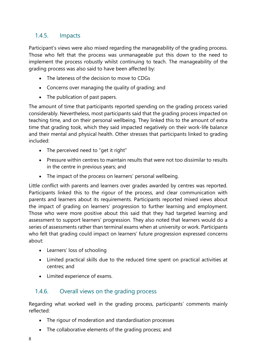#### 1.4.5. Impacts

Participant's views were also mixed regarding the manageability of the grading process. Those who felt that the process was unmanageable put this down to the need to implement the process robustly whilst continuing to teach. The manageability of the grading process was also said to have been affected by:

- The lateness of the decision to move to CDGs
- Concerns over managing the quality of grading; and
- The publication of past papers.

The amount of time that participants reported spending on the grading process varied considerably. Nevertheless, most participants said that the grading process impacted on teaching time, and on their personal wellbeing. They linked this to the amount of extra time that grading took, which they said impacted negatively on their work-life balance and their mental and physical health. Other stresses that participants linked to grading included:

- The perceived need to "get it right"
- Pressure within centres to maintain results that were not too dissimilar to results in the centre in previous years; and
- The impact of the process on learners' personal wellbeing.

Little conflict with parents and learners over grades awarded by centres was reported. Participants linked this to the rigour of the process, and clear communication with parents and learners about its requirements. Participants reported mixed views about the impact of grading on learners' progression to further learning and employment. Those who were more positive about this said that they had targeted learning and assessment to support learners' progression. They also noted that learners would do a series of assessments rather than terminal exams when at university or work. Participants who felt that grading could impact on learners' future progression expressed concerns about:

- Learners' loss of schooling
- Limited practical skills due to the reduced time spent on practical activities at centres; and
- Limited experience of exams.

#### 1.4.6. Overall views on the grading process

Regarding what worked well in the grading process, participants' comments mainly reflected:

- The rigour of moderation and standardisation processes
- The collaborative elements of the grading process; and